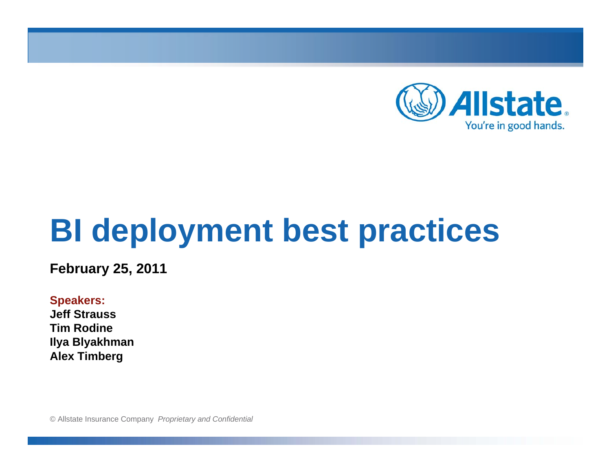

# **BI deployment best practices**

**February 25, 2011**

**Speakers: Jeff StraussTim RodineIlya Blyakhman Alex Timberg**

© Allstate Insurance Company *Proprietary and Confidential*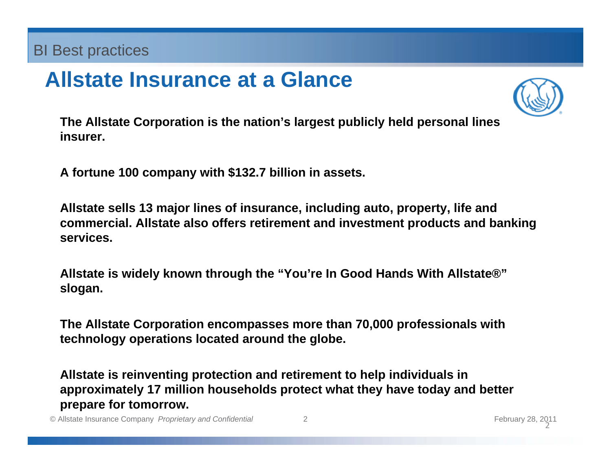### **Allstate Insurance at a Glance**



**The Allstate Corporation is the nation's largest publicly held personal lines insurer.** 

**A fortune 100 company with \$132.7 billion in assets.**

**Allstate sells 13 major lines of insurance, including auto, property, life and commercial. Allstate also offers retirement and investment products and banking services.**

**Allstate is widely known through the "You're In Good Hands With Allstate®" slogan.**

**The Allstate Corporation encompasses more than 70,000 professionals with technology operations located around the globe.**

**Allstate is reinventing protection and retirement to help individuals in approximately 17 million households protect what they have today and better prepare for tomorrow.** 

© Allstate Insurance Company *Proprietary and Confidential* 2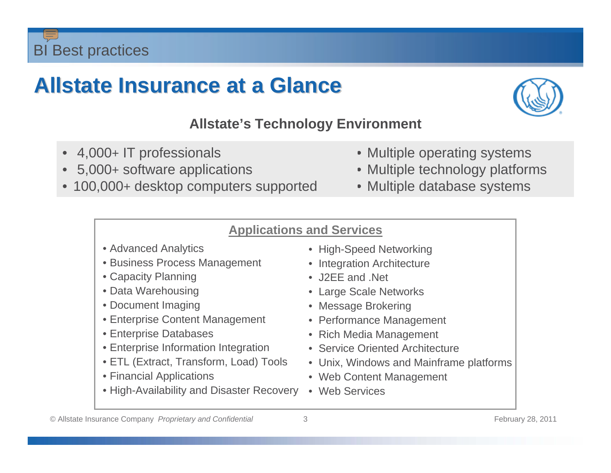### **Allstate Insurance at a Glance Allstate Insurance at a Glance**



#### **Allstate's Technology Environment**

- 4,000+ IT professionals
- 5,000+ software applications
- 100,000+ desktop computers supported
- Multiple operating systems
- Multiple technology platforms
- Multiple database systems

#### **Applications and Services**

- Advanced Analytics
- Business Process Management
- Capacity Planning
- Data Warehousing
- Document Imaging
- Enterprise Content Management
- Enterprise Databases
- Enterprise Information Integration
- ETL (Extract, Transform, Load) Tools
- Financial Applications
- High-Availability and Disaster Recovery
- High-Speed Networking
- Integration Architecture
- J2FF and Net
- Large Scale Networks
- Message Brokering
- Performance Management
- Rich Media Management
- Service Oriented Architecture
- Unix, Windows and Mainframe platforms
- Web Content Management
- Web Services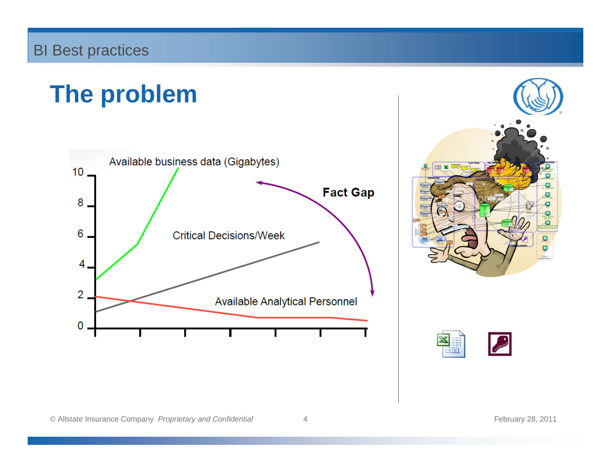### **The problem**





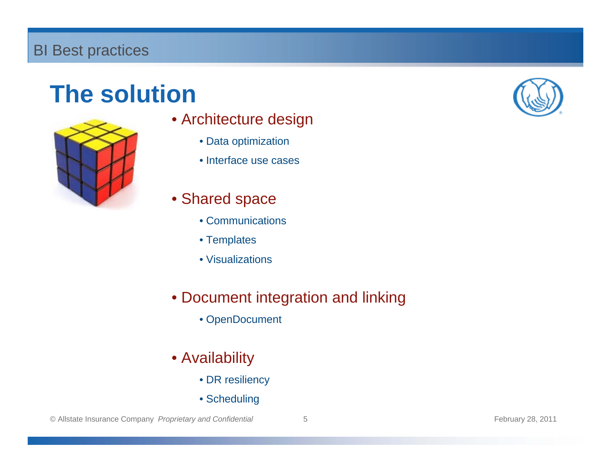### **The solution**



- Architecture design
	- Data optimization
	- Interface use cases
- Shared space
	- Communications
	- Templates
	- Visualizations
- Document integration and linking
	- OpenDocument
- Availability
	- DR resiliency
	- Scheduling

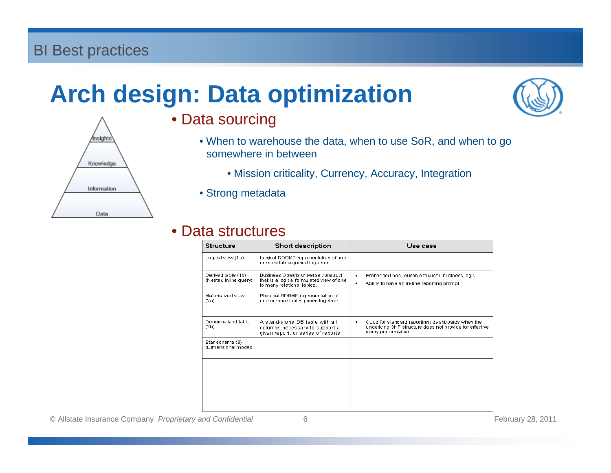## **Arch design: Data optimization**



- Data sourcing
	- When to warehouse the data, when to use SoR, and when to go somewhere in between
		- Mission criticality, Currency, Accuracy, Integration
	- Strong metadata

#### • Data structures

| Structure                                   | Short description                                                                                             | Use case                                                                                                                               |
|---------------------------------------------|---------------------------------------------------------------------------------------------------------------|----------------------------------------------------------------------------------------------------------------------------------------|
| Logical view (1a)                           | Logical RDBMS representation of one<br>or more tables joined together                                         |                                                                                                                                        |
| Derived table (1b)<br>(Nested inline query) | Business Objects universe construct<br>that is a logical formulated view of one<br>to many relational tables. | Embedded non-reusable focused business logic<br>٠<br>Ability to have an in-line reporting prompt<br>٠                                  |
| Materialized view<br>(2a)                   | Physical RDBMS representation of<br>one or more tables joined together                                        |                                                                                                                                        |
| Denomalized table<br>(2b)                   | A stand-alone DB table with all<br>columns necessary to support a<br>given report, or series of reports       | Good for standard reporting / dashboards when the<br>٠<br>underlying 3NF structure does not provide for effective<br>query performance |
| Star schema (3)<br>(Dimensional model)      |                                                                                                               |                                                                                                                                        |
|                                             |                                                                                                               |                                                                                                                                        |
|                                             |                                                                                                               |                                                                                                                                        |

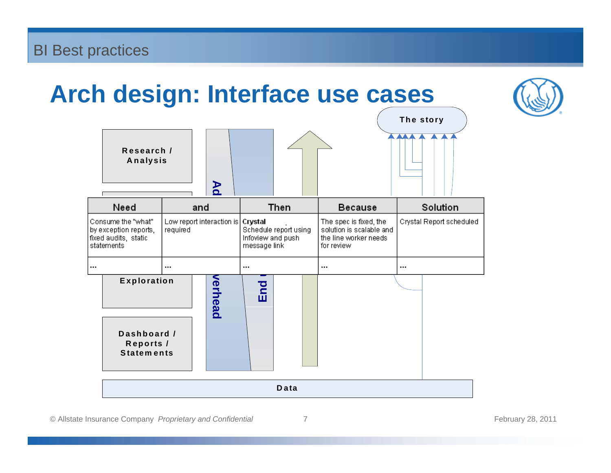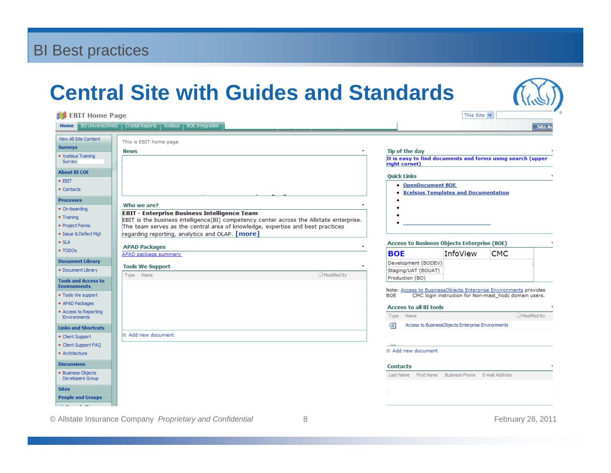### **Central Site with Guides and Standards**

| <b>約 EBIT Home Page</b>                                                                                                                 |                                                                                                                                                                                                                                                                                                    |                                                                                                                            | This Site $\vee$                                                                                                                                           |                |
|-----------------------------------------------------------------------------------------------------------------------------------------|----------------------------------------------------------------------------------------------------------------------------------------------------------------------------------------------------------------------------------------------------------------------------------------------------|----------------------------------------------------------------------------------------------------------------------------|------------------------------------------------------------------------------------------------------------------------------------------------------------|----------------|
|                                                                                                                                         | Home BO Universe/WebI   Crystal Reports   Xcelsius   BOE Integration                                                                                                                                                                                                                               |                                                                                                                            |                                                                                                                                                            | <b>Site Ad</b> |
| View All Site Content<br><b>Surveys</b><br>Xcelsius Training<br>Survey<br><b>About BI COE</b><br>$-$ EBIT<br>• Contacts                 | This is EBIT home page<br><b>News</b>                                                                                                                                                                                                                                                              | Tip of the day<br>right cornet)<br><b>Quick Links</b><br>• OpenDocument BOE                                                | It is easy to find documents and forms using search (upper<br>• Xcelsius Templates and Documentation                                                       |                |
| <b>Processes</b><br>· On-boarding<br>■ Training<br>Project Forms<br>· Issue & Defect Mgt                                                | Who we are?<br><b>EBIT - Enterprise Business Intelligence Team</b><br>EBIT is the business intelligence(BI) competency center across the Allstate enterprise.<br>The team serves as the central area of knowledge, expertise and best practices<br>regarding reporting, analytics and OLAP. [more] |                                                                                                                            |                                                                                                                                                            |                |
| $-SLA$<br>■ TODOs                                                                                                                       | <b>APAD Packages</b>                                                                                                                                                                                                                                                                               |                                                                                                                            | <b>Access to Business Objects Enterprise (BOE)</b>                                                                                                         |                |
| <b>Document Library</b><br>Document Library<br><b>Tools and Access to</b><br><b>Environments</b><br>" Tools We support<br>APAD Packages | APAD package summary<br><b>Tools We Support</b><br>Modified By<br>Type Name                                                                                                                                                                                                                        | <b>BOE</b><br>Development (BODEV)<br>Staging/UAT (BOUAT)<br>Production (BO)<br><b>BOE</b><br><b>Access to all BI tools</b> | <b>CMC</b><br><b>InfoView</b><br>Note: Access to BusinessObjects Enterprise Environments provides<br>CMC login instruction for Non-mast hode domain users. |                |
| Access to Reporting<br><b>Environments</b><br><b>Links and Shortcuts</b><br>Client Support                                              | <b>□ Add new document</b>                                                                                                                                                                                                                                                                          | Type Name<br>卣                                                                                                             | Access to BusinessObjects Enterprise Environments                                                                                                          | Modified By    |
| Client Support FAQ<br>· Architecture                                                                                                    |                                                                                                                                                                                                                                                                                                    | □ Add new document                                                                                                         |                                                                                                                                                            |                |
| <b>Discussions</b><br><b>Business Objects</b><br>Developers Group                                                                       |                                                                                                                                                                                                                                                                                                    | <b>Contacts</b>                                                                                                            | Last Name First Name Business Phone E-mail Address                                                                                                         |                |
| <b>Sites</b><br><b>People and Groups</b>                                                                                                |                                                                                                                                                                                                                                                                                                    |                                                                                                                            |                                                                                                                                                            |                |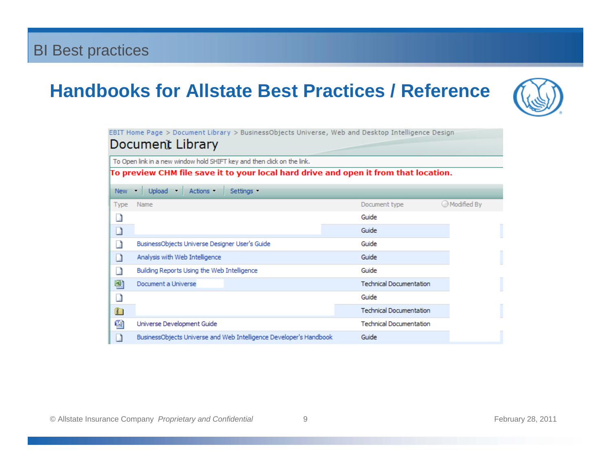### **Handbooks for Allstate Best Practices / Reference**



EBIT Home Page > Document Library > BusinessObjects Universe, Web and Desktop Intelligence Design

#### Document Library

To Open link in a new window hold SHIFT key and then click on the link.

To preview CHM file save it to your local hard drive and open it from that location.

| New          | Upload $\blacksquare$<br>Actions -<br>Settings -<br>▼              |                                |             |
|--------------|--------------------------------------------------------------------|--------------------------------|-------------|
| <b>Type</b>  | Name                                                               | Document type                  | Modified By |
|              |                                                                    | Guide                          |             |
|              |                                                                    | Guide                          |             |
|              | BusinessObjects Universe Designer User's Guide                     | Guide                          |             |
|              | Analysis with Web Intelligence                                     | Guide                          |             |
|              | Building Reports Using the Web Intelligence                        | Guide                          |             |
| 團            | Document a Universe                                                | <b>Technical Documentation</b> |             |
|              |                                                                    | Guide                          |             |
| $\mathbb{F}$ |                                                                    | <b>Technical Documentation</b> |             |
| 働            | Universe Development Guide                                         | <b>Technical Documentation</b> |             |
|              | BusinessObjects Universe and Web Intelligence Developer's Handbook | Guide                          |             |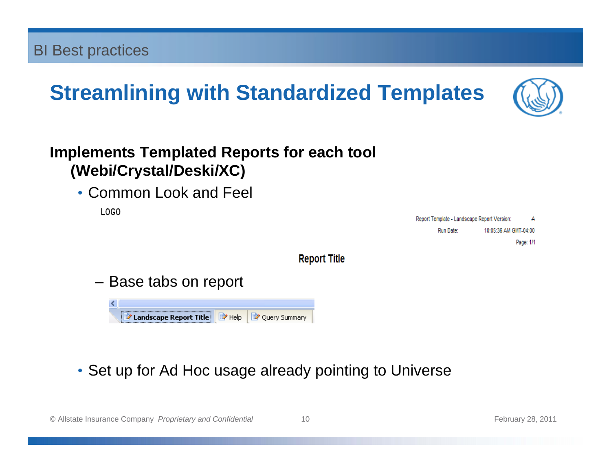### **Streamlining with Standardized Templates**



#### **Implements Templated Reports for each tool (Webi/Crystal/Deski/XC)**

• Common Look and Feel

LOGO

Report Template - Landscape Report Version: ٠A Run Date: 10:05:36 AM GMT-04:00 Page: 1/1

**Report Title** 

– Base tabs on report



• Set up for Ad Hoc usage already pointing to Universe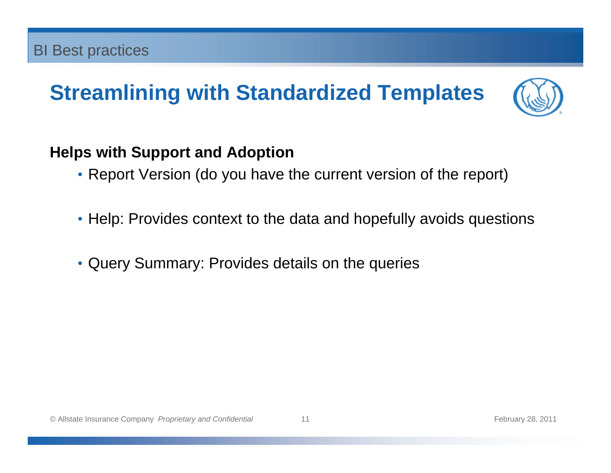### **Streamlining with Standardized Templates**



#### **Helps with Support and Adoption**

- Report Version (do you have the current version of the report)
- Help: Provides context to the data and hopefully avoids questions
- Query Summary: Provides details on the queries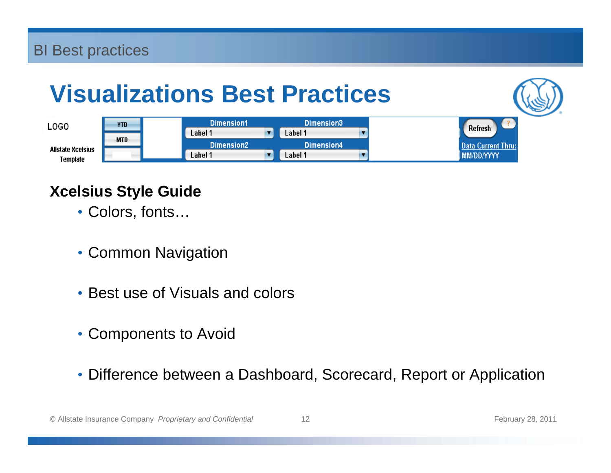### **Visualizations Best Practices**





#### **Xcelsius Style Guide**

- Colors, fonts…
- Common Navigation
- Best use of Visuals and colors
- Components to Avoid
- Difference between a Dashboard, Scorecard, Report or Application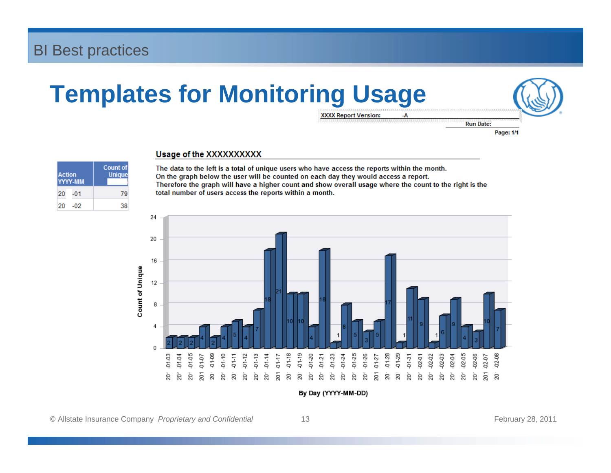### **Templates for Monitoring Usage**



**XXXX Report Version:** 

-A

**Run Date:** Page: 1/1

| <b>Action</b><br>YYYY-MM | <b>Count of</b><br><b>Unique</b> |
|--------------------------|----------------------------------|
| 20<br>-01                | 79                               |
| 20٠<br>-02               | 38                               |

#### Usage of the XXXXXXXXX

The data to the left is a total of unique users who have access the reports within the month. On the graph below the user will be counted on each day they would access a report. Therefore the graph will have a higher count and show overall usage where the count to the right is the total number of users access the reports within a month.



By Day (YYYY-MM-DD)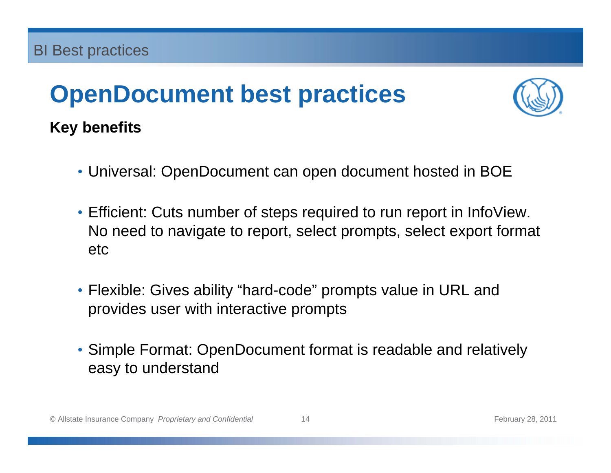### **OpenDocument best practices**



### **Key benefits**

- Universal: OpenDocument can open document hosted in BOE
- Efficient: Cuts number of steps required to run report in InfoView. No need to navigate to report, select prompts, select export format etc
- Flexible: Gives ability "hard-code" prompts value in URL and provides user with interactive prompts
- Simple Format: OpenDocument format is readable and relatively easy to understand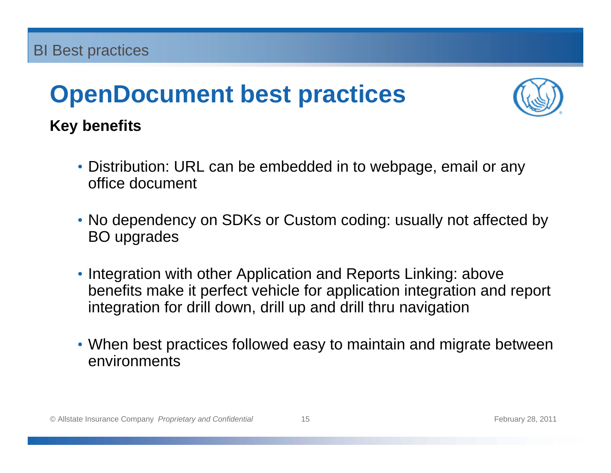## **OpenDocument best practices**



### **Key benefits**

- Distribution: URL can be embedded in to webpage, email or any office document
- No dependency on SDKs or Custom coding: usually not affected by BO upgrades
- Integration with other Application and Reports Linking: above benefits make it perfect vehicle for application integration and report integration for drill down, drill up and drill thru navigation
- When best practices followed easy to maintain and migrate between environments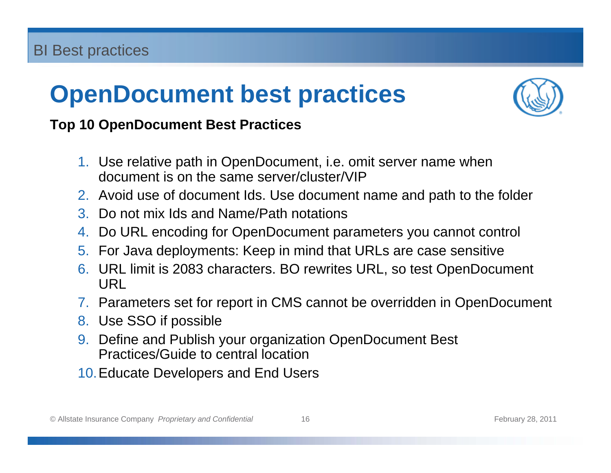### **OpenDocument best practices**



#### **Top 10 OpenDocument Best Practices**

- 1. Use relative path in OpenDocument, i.e. omit server name when document is on the same server/cluster/VIP
- 2. Avoid use of document Ids. Use document name and path to the folder
- 3. Do not mix Ids and Name/Path notations
- 4. Do URL encoding for OpenDocument parameters you cannot control
- 5. For Java deployments: Keep in mind that URLs are case sensitive
- 6. URL limit is 2083 characters. BO rewrites URL, so test OpenDocument URL
- 7. Parameters set for report in CMS cannot be overridden in OpenDocument
- 8. Use SSO if possible
- 9. Define and Publish your organization OpenDocument Best Practices/Guide to central location
- 10.Educate Developers and End Users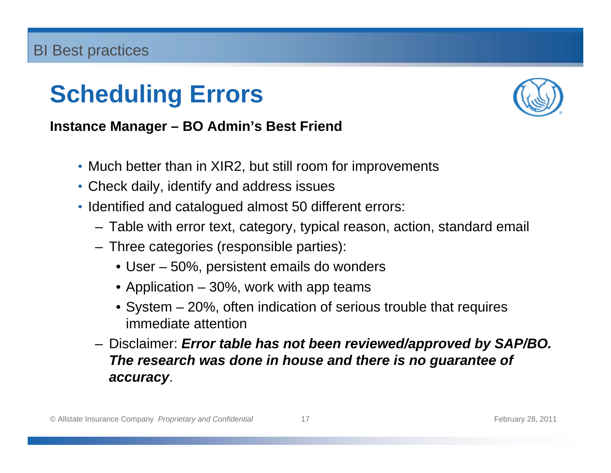

#### **Instance Manager – BO Admin's Best Friend**

- Much better than in XIR2, but still room for improvements
- Check daily, identify and address issues
- Identified and catalogued almost 50 different errors:
	- Table with error text, category, typical reason, action, standard email
	- Three categories (responsible parties):
		- User 50%, persistent emails do wonders
		- Application 30%, work with app teams
		- System 20%, often indication of serious trouble that requires immediate attention
	- Disclaimer: *Error table has not been reviewed/approved by SAP/BO. The research was done in house and there is no guarantee of accuracy*.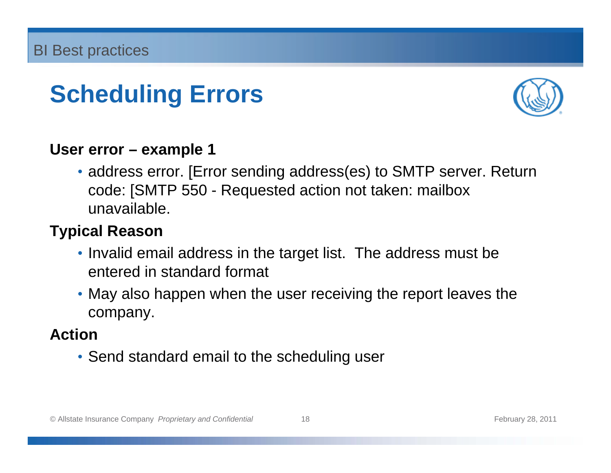

#### **User error – example 1**

• address error. [Error sending address(es) to SMTP server. Return code: [SMTP 550 - Requested action not taken: mailbox unavailable.

#### **Typical Reason**

- Invalid email address in the target list. The address must be entered in standard format
- May also happen when the user receiving the report leaves the company.

#### **Action**

• Send standard email to the scheduling user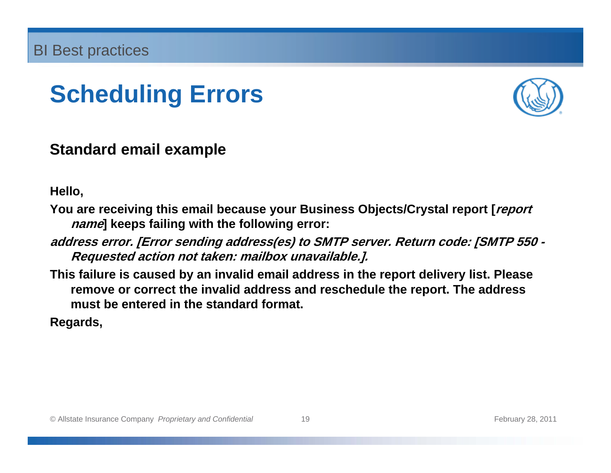

#### **Standard email example**

**Hello,**

- **You are receiving this email because your Business Objects/Crystal report [report name] keeps failing with the following error:**
- **address error. [Error sending address(es) to SMTP server. Return code: [SMTP 550 Requested action not taken: mailbox unavailable.].**
- **This failure is caused by an invalid email address in the report delivery list. Please remove or correct the invalid address and reschedule the report. The address must be entered in the standard format.**

**Regards,**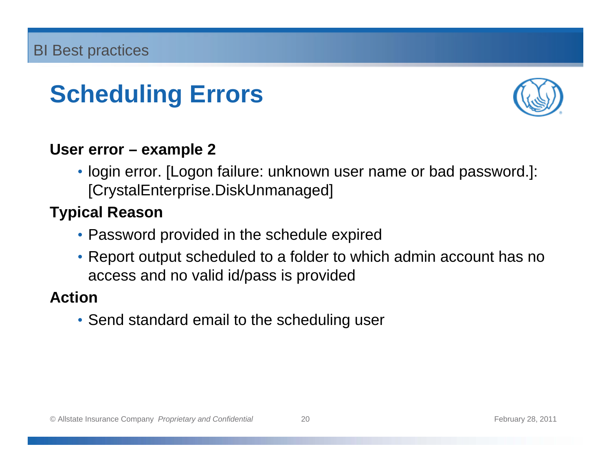

#### **User error – example 2**

• login error. [Logon failure: unknown user name or bad password.]: [CrystalEnterprise.DiskUnmanaged]

#### **Typical Reason**

- Password provided in the schedule expired
- Report output scheduled to a folder to which admin account has no access and no valid id/pass is provided

#### **Action**

• Send standard email to the scheduling user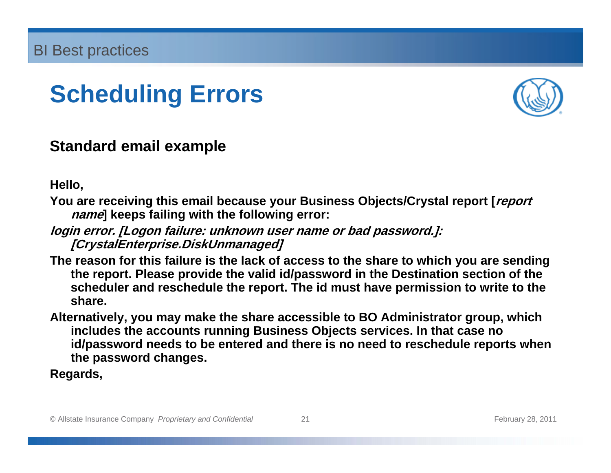

#### **Standard email example**

**Hello,**

- **You are receiving this email because your Business Objects/Crystal report [report name] keeps failing with the following error:**
- **login error. [Logon failure: unknown user name or bad password.]: [CrystalEnterprise.DiskUnmanaged]**
- **The reason for this failure is the lack of access to the share to which you are sending the report. Please provide the valid id/password in the Destination section of the scheduler and reschedule the report. The id must have permission to write to the share.**
- **Alternatively, you may make the share accessible to BO Administrator group, which includes the accounts running Business Objects services. In that case no id/password needs to be entered and there is no need to reschedule reports when the password changes.**

**Regards,**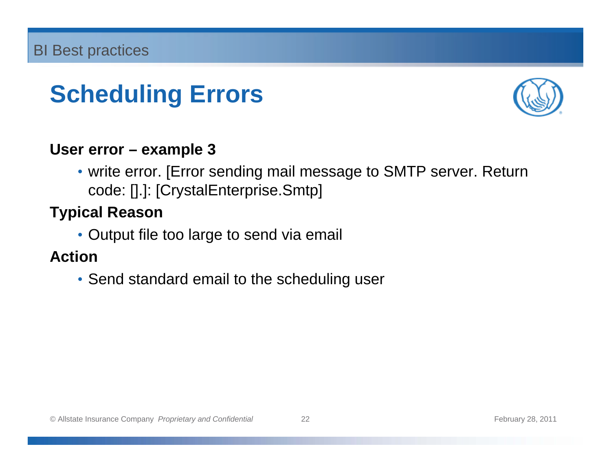

#### **User error – example 3**

• write error. [Error sending mail message to SMTP server. Return code: [].]: [CrystalEnterprise.Smtp]

#### **Typical Reason**

• Output file too large to send via email

#### **Action**

• Send standard email to the scheduling user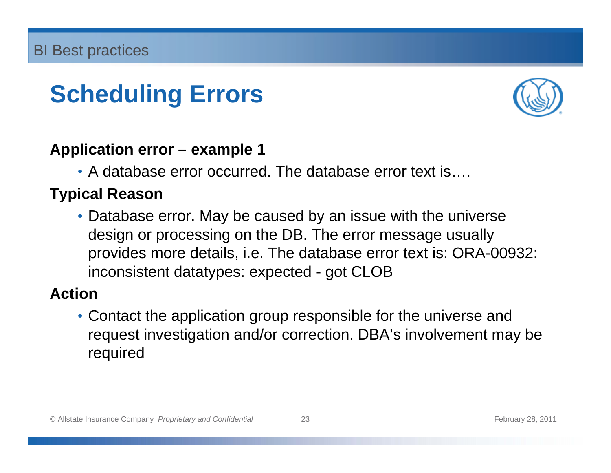

#### **Application error – example 1**

• A database error occurred. The database error text is....

#### **Typical Reason**

• Database error. May be caused by an issue with the universe design or processing on the DB. The error message usually provides more details, i.e. The database error text is: ORA-00932: inconsistent datatypes: expected - got CLOB

#### **Action**

• Contact the application group responsible for the universe and request investigation and/or correction. DBA's involvement may be required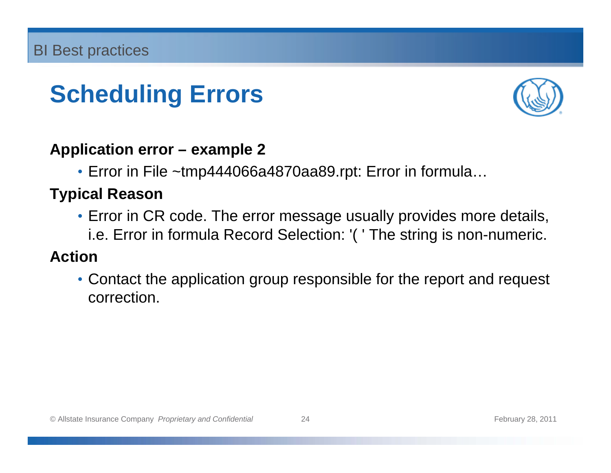

#### **Application error – example 2**

• Error in File ~tmp444066a4870aa89.rpt: Error in formula…

#### **Typical Reason**

• Error in CR code. The error message usually provides more details, i.e. Error in formula Record Selection: '( ' The string is non-numeric.

#### **Action**

• Contact the application group responsible for the report and request correction.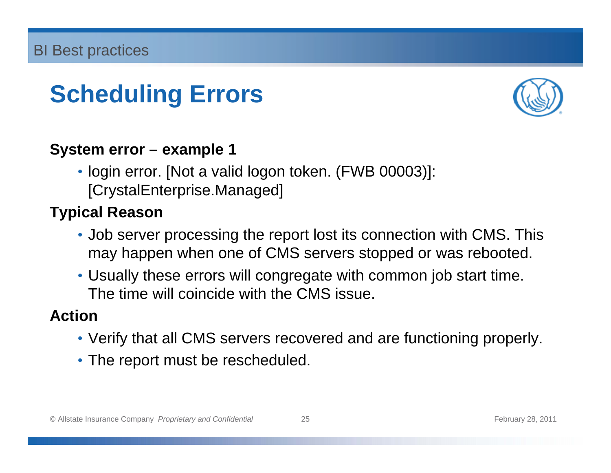

#### **System error – example 1**

• login error. [Not a valid logon token. (FWB 00003)]: [CrystalEnterprise.Managed]

#### **Typical Reason**

- Job server processing the report lost its connection with CMS. This may happen when one of CMS servers stopped or was rebooted.
- Usually these errors will congregate with common job start time. The time will coincide with the CMS issue.

#### **Action**

- Verify that all CMS servers recovered and are functioning properly.
- The report must be rescheduled.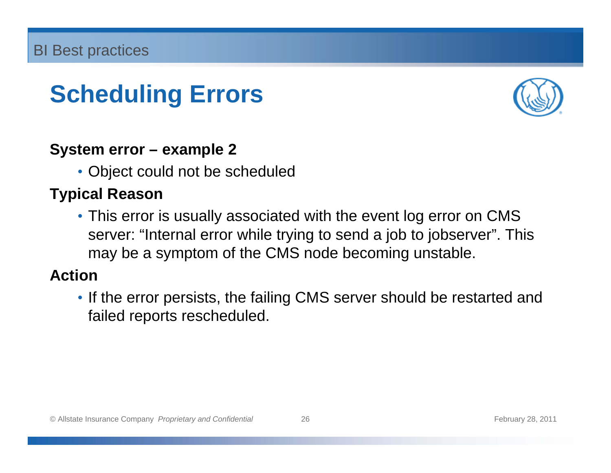

#### **System error – example 2**

• Object could not be scheduled

#### **Typical Reason**

• This error is usually associated with the event log error on CMS server: "Internal error while trying to send a job to jobserver". This may be a symptom of the CMS node becoming unstable.

#### **Action**

• If the error persists, the failing CMS server should be restarted and failed reports rescheduled.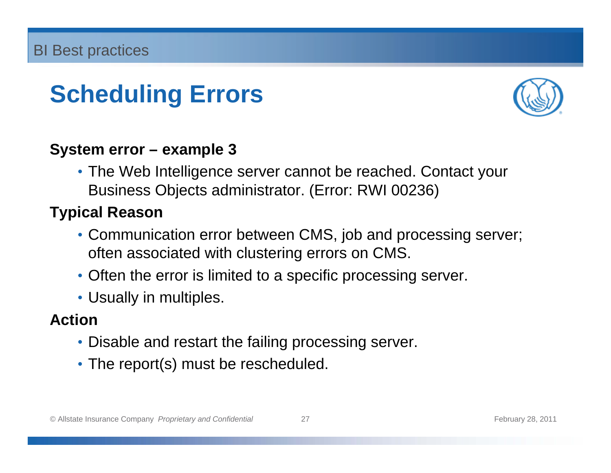

#### **System error – example 3**

• The Web Intelligence server cannot be reached. Contact your Business Objects administrator. (Error: RWI 00236)

#### **Typical Reason**

- Communication error between CMS, job and processing server; often associated with clustering errors on CMS.
- Often the error is limited to a specific processing server.
- Usually in multiples.

#### **Action**

- Disable and restart the failing processing server.
- The report(s) must be rescheduled.